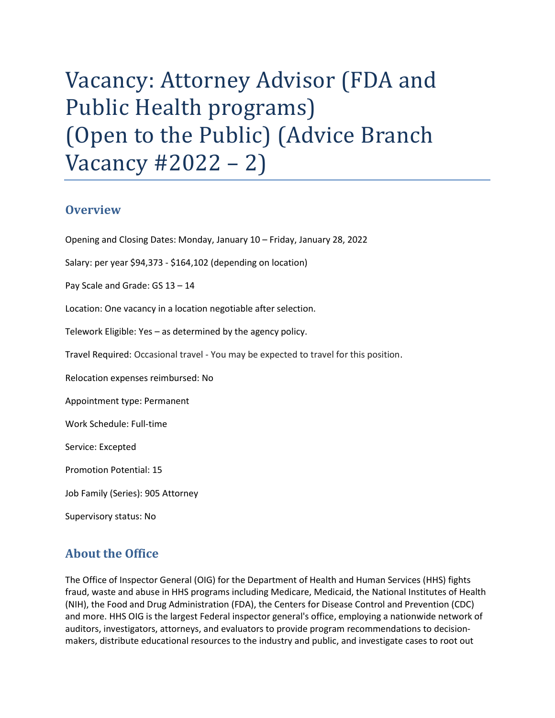# Vacancy: Attorney Advisor (FDA and Public Health programs) (Open to the Public) (Advice Branch Vacancy #2022 – 2)

#### **Overview**

Opening and Closing Dates: Monday, January 10 – Friday, January 28, 2022

Salary: per year \$94,373 - \$164,102 (depending on location)

Pay Scale and Grade: GS 13 – 14

Location: One vacancy in a location negotiable after selection.

Telework Eligible: Yes – as determined by the agency policy.

Travel Required: Occasional travel - You may be expected to travel for this position.

Relocation expenses reimbursed: No

Appointment type: Permanent

Work Schedule: Full-time

Service: Excepted

Promotion Potential: 15

Job Family (Series): 905 Attorney

Supervisory status: No

## About the Office

 The Office of Inspector General (OIG) for the Department of Health and Human Services (HHS) fights fraud, waste and abuse in HHS programs including Medicare, Medicaid, the National Institutes of Health (NIH), the Food and Drug Administration (FDA), the Centers for Disease Control and Prevention (CDC) and more. HHS OIG is the largest Federal inspector general's office, employing a nationwide network of auditors, investigators, attorneys, and evaluators to provide program recommendations to decision-makers, distribute educational resources to the industry and public, and investigate cases to root out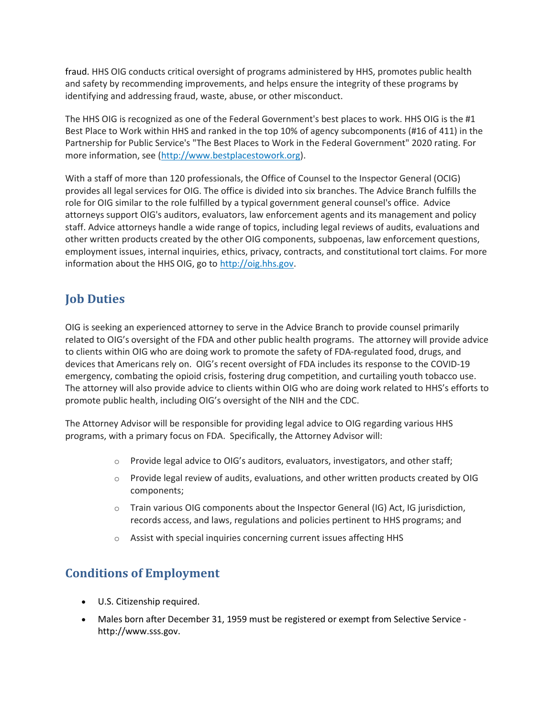fraud. HHS OIG conducts critical oversight of programs administered by HHS, promotes public health and safety by recommending improvements, and helps ensure the integrity of these programs by identifying and addressing fraud, waste, abuse, or other misconduct.

 The HHS OIG is recognized as one of the Federal Government's best places to work. HHS OIG is the #1 Best Place to Work within HHS and ranked in the top 10% of agency subcomponents (#16 of 411) in the Partnership for Public Service's "The Best Places to Work in the Federal Government" 2020 rating. For more information, see (http://www.bestplacestowork.org).

 With a staff of more than 120 professionals, the Office of Counsel to the Inspector General (OCIG) provides all legal services for OIG. The office is divided into six branches. The Advice Branch fulfills the role for OIG similar to the role fulfilled by a typical government general counsel's office. Advice attorneys support OIG's auditors, evaluators, law enforcement agents and its management and policy staff. Advice attorneys handle a wide range of topics, including legal reviews of audits, evaluations and other written products created by the other OIG components, subpoenas, law enforcement questions, employment issues, internal inquiries, ethics, privacy, contracts, and constitutional tort claims. For more information about the HHS OIG, go to http://oig.hhs.gov.

# Job Duties

 OIG is seeking an experienced attorney to serve in the Advice Branch to provide counsel primarily related to OIG's oversight of the FDA and other public health programs. The attorney will provide advice to clients within OIG who are doing work to promote the safety of FDA-regulated food, drugs, and devices that Americans rely on. OIG's recent oversight of FDA includes its response to the COVID-19 emergency, combating the opioid crisis, fostering drug competition, and curtailing youth tobacco use. The attorney will also provide advice to clients within OIG who are doing work related to HHS's efforts to promote public health, including OIG's oversight of the NIH and the CDC.

 The Attorney Advisor will be responsible for providing legal advice to OIG regarding various HHS programs, with a primary focus on FDA. Specifically, the Attorney Advisor will:

- $\circ$  Provide legal advice to OIG's auditors, evaluators, investigators, and other staff;
- $\circ$  Provide legal review of audits, evaluations, and other written products created by OIG components;
- o Train various OIG components about the Inspector General (IG) Act, IG jurisdiction, records access, and laws, regulations and policies pertinent to HHS programs; and
- $\circ$  Assist with special inquiries concerning current issues affecting HHS

#### Conditions of Employment

- U.S. Citizenship required.
- Males born after December 31, 1959 must be registered or exempt from Selective Service http://www.sss.gov.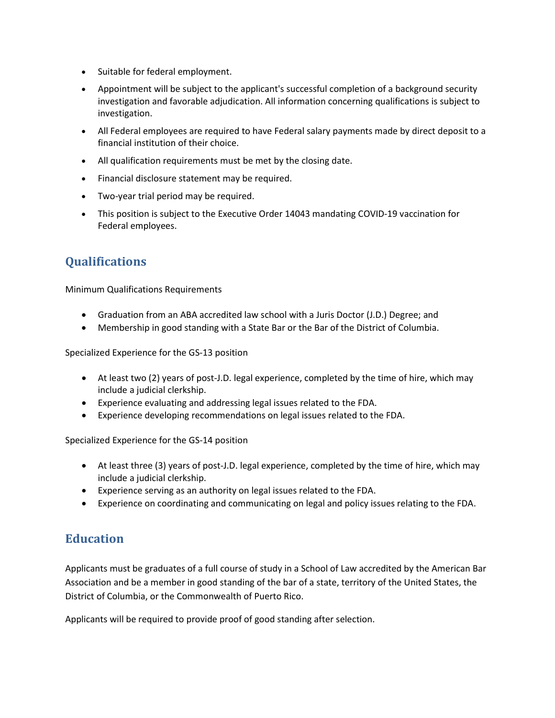- Suitable for federal employment.
- Appointment will be subject to the applicant's successful completion of a background security investigation and favorable adjudication. All information concerning qualifications is subject to investigation.
- All Federal employees are required to have Federal salary payments made by direct deposit to a financial institution of their choice.
- All qualification requirements must be met by the closing date.
- Financial disclosure statement may be required.
- Two-year trial period may be required.
- This position is subject to the Executive Order 14043 mandating COVID-19 vaccination for Federal employees.

## **Qualifications**

Minimum Qualifications Requirements

- Graduation from an ABA accredited law school with a Juris Doctor (J.D.) Degree; and
- Membership in good standing with a State Bar or the Bar of the District of Columbia.

Specialized Experience for the GS-13 position

- At least two (2) years of post-J.D. legal experience, completed by the time of hire, which may include a judicial clerkship.
- Experience evaluating and addressing legal issues related to the FDA.
- Experience developing recommendations on legal issues related to the FDA.

Specialized Experience for the GS-14 position

- At least three (3) years of post-J.D. legal experience, completed by the time of hire, which may include a judicial clerkship.
- Experience serving as an authority on legal issues related to the FDA.
- Experience on coordinating and communicating on legal and policy issues relating to the FDA.

## **Education**

 Applicants must be graduates of a full course of study in a School of Law accredited by the American Bar Association and be a member in good standing of the bar of a state, territory of the United States, the District of Columbia, or the Commonwealth of Puerto Rico.

Applicants will be required to provide proof of good standing after selection.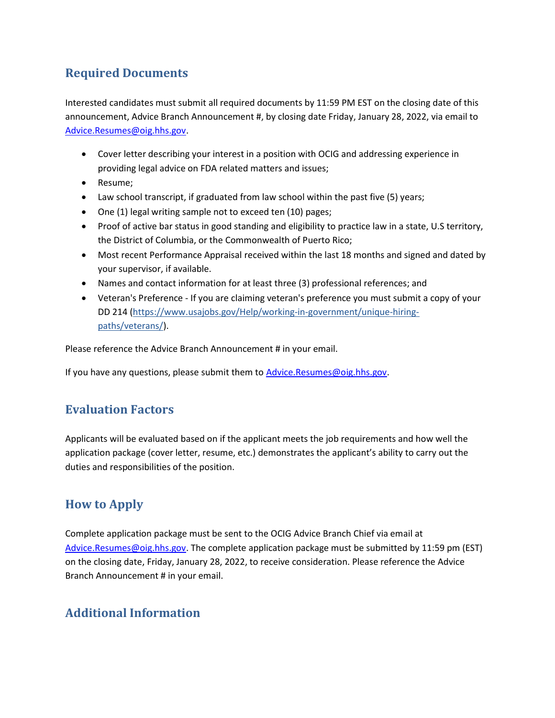# Required Documents

 Interested candidates must submit all required documents by 11:59 PM EST on the closing date of this announcement, Advice Branch Announcement #, by closing date Friday, January 28, 2022, via email to Advice.Resumes@oig.hhs.gov.

- Cover letter describing your interest in a position with OCIG and addressing experience in providing legal advice on FDA related matters and issues;
- Resume;
- Law school transcript, if graduated from law school within the past five (5) years;
- One (1) legal writing sample not to exceed ten (10) pages;
- Proof of active bar status in good standing and eligibility to practice law in a state, U.S territory, the District of Columbia, or the Commonwealth of Puerto Rico;
- Most recent Performance Appraisal received within the last 18 months and signed and dated by your supervisor, if available.
- Names and contact information for at least three (3) professional references; and
- Veteran's Preference If you are claiming veteran's preference you must submit a copy of your DD 214 (https://www.usajobs.gov/Help/working-in-government/unique-hiring-paths/veterans/).

Please reference the Advice Branch Announcement # in your email.

If you have any questions, please submit them to **Advice.Resumes@oig.hhs.gov**.

#### Evaluation Factors

 Applicants will be evaluated based on if the applicant meets the job requirements and how well the application package (cover letter, resume, etc.) demonstrates the applicant's ability to carry out the duties and responsibilities of the position.

# How to Apply

 Complete application package must be sent to the OCIG Advice Branch Chief via email at Advice.Resumes@oig.hhs.gov. The complete application package must be submitted by 11:59 pm (EST) on the closing date, Friday, January 28, 2022, to receive consideration. Please reference the Advice Branch Announcement # in your email.

#### Additional Information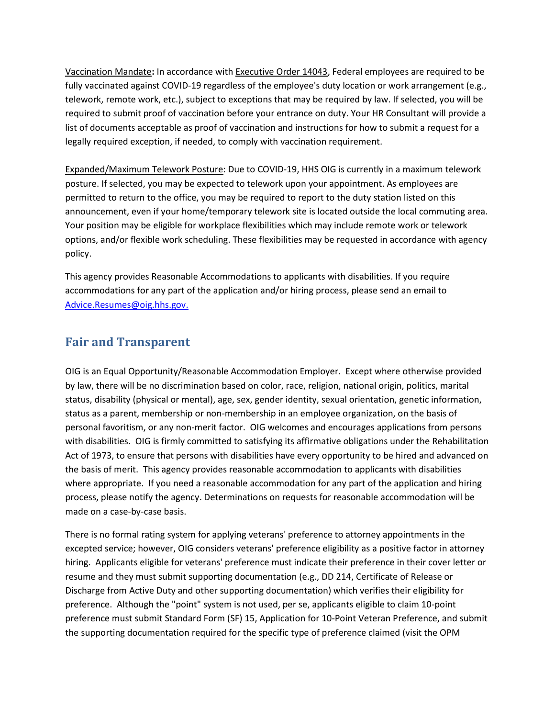Vaccination Mandate: In accordance with Executive Order 14043, Federal employees are required to be fully vaccinated against COVID-19 regardless of the employee's duty location or work arrangement (e.g., telework, remote work, etc.), subject to exceptions that may be required by law. If selected, you will be required to submit proof of vaccination before your entrance on duty. Your HR Consultant will provide a list of documents acceptable as proof of vaccination and instructions for how to submit a request for a legally required exception, if needed, to comply with vaccination requirement.

Expanded/Maximum Telework Posture: Due to COVID-19, HHS OIG is currently in a maximum telework posture. If selected, you may be expected to telework upon your appointment. As employees are permitted to return to the office, you may be required to report to the duty station listed on this announcement, even if your home/temporary telework site is located outside the local commuting area. Your position may be eligible for workplace flexibilities which may include remote work or telework options, and/or flexible work scheduling. These flexibilities may be requested in accordance with agency policy.

 This agency provides Reasonable Accommodations to applicants with disabilities. If you require accommodations for any part of the application and/or hiring process, please send an email to Advice.Resumes@oig.hhs.gov.

#### Fair and Transparent

 OIG is an Equal Opportunity/Reasonable Accommodation Employer. Except where otherwise provided by law, there will be no discrimination based on color, race, religion, national origin, politics, marital status, disability (physical or mental), age, sex, gender identity, sexual orientation, genetic information, status as a parent, membership or non-membership in an employee organization, on the basis of personal favoritism, or any non-merit factor. OIG welcomes and encourages applications from persons with disabilities. OIG is firmly committed to satisfying its affirmative obligations under the Rehabilitation Act of 1973, to ensure that persons with disabilities have every opportunity to be hired and advanced on the basis of merit. This agency provides reasonable accommodation to applicants with disabilities where appropriate. If you need a reasonable accommodation for any part of the application and hiring process, please notify the agency. Determinations on requests for reasonable accommodation will be made on a case-by-case basis.

 There is no formal rating system for applying veterans' preference to attorney appointments in the excepted service; however, OIG considers veterans' preference eligibility as a positive factor in attorney hiring. Applicants eligible for veterans' preference must indicate their preference in their cover letter or resume and they must submit supporting documentation (e.g., DD 214, Certificate of Release or Discharge from Active Duty and other supporting documentation) which verifies their eligibility for preference. Although the "point" system is not used, per se, applicants eligible to claim 10-point preference must submit Standard Form (SF) 15, Application for 10-Point Veteran Preference, and submit the supporting documentation required for the specific type of preference claimed (visit the OPM